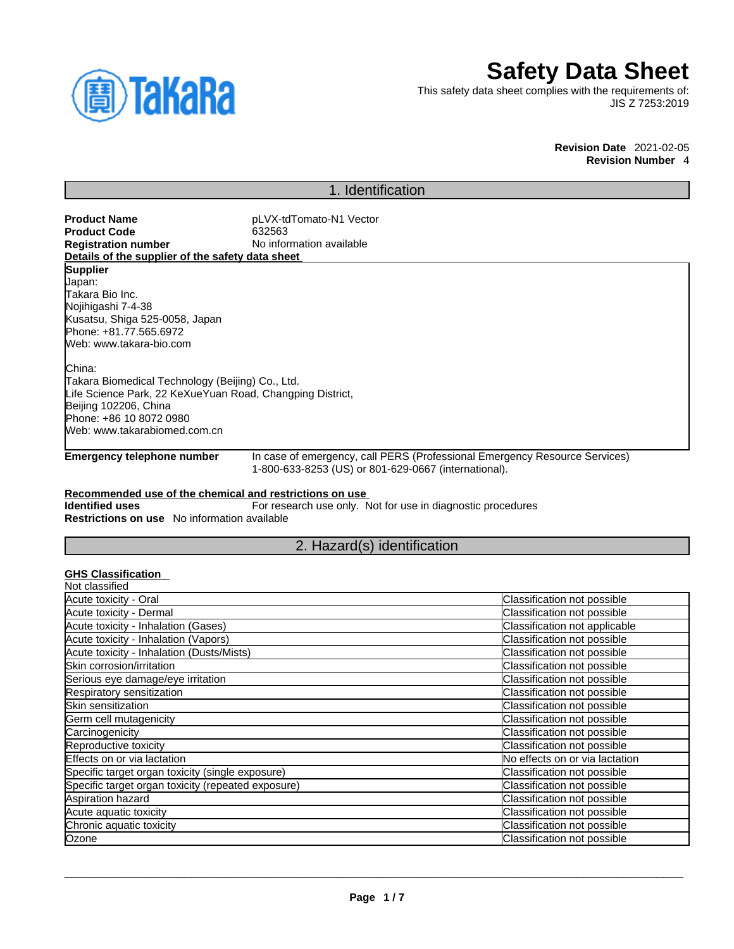

# **Safety Data Sheet**

This safety data sheet complies with the requirements of: JIS Z 7253:2019

> **Revision Date** 2021-02-05 **Revision Number** 4

# 1. Identification

| <b>Product Name</b>                                       | pLVX-tdTomato-N1 Vector                                     |                                                                            |
|-----------------------------------------------------------|-------------------------------------------------------------|----------------------------------------------------------------------------|
| <b>Product Code</b>                                       | 632563                                                      |                                                                            |
| <b>Registration number</b>                                | No information available                                    |                                                                            |
| Details of the supplier of the safety data sheet          |                                                             |                                                                            |
| <b>Supplier</b>                                           |                                                             |                                                                            |
| Japan:                                                    |                                                             |                                                                            |
| Takara Bio Inc.<br>Nojihigashi 7-4-38                     |                                                             |                                                                            |
| Kusatsu, Shiga 525-0058, Japan                            |                                                             |                                                                            |
| Phone: +81.77.565.6972                                    |                                                             |                                                                            |
| Web: www.takara-bio.com                                   |                                                             |                                                                            |
|                                                           |                                                             |                                                                            |
| China:                                                    |                                                             |                                                                            |
| Takara Biomedical Technology (Beijing) Co., Ltd.          |                                                             |                                                                            |
| Life Science Park, 22 KeXueYuan Road, Changping District, |                                                             |                                                                            |
| Beijing 102206, China                                     |                                                             |                                                                            |
| Phone: +86 10 8072 0980                                   |                                                             |                                                                            |
| Web: www.takarabiomed.com.cn                              |                                                             |                                                                            |
| <b>Emergency telephone number</b>                         |                                                             | In case of emergency, call PERS (Professional Emergency Resource Services) |
|                                                           | 1-800-633-8253 (US) or 801-629-0667 (international).        |                                                                            |
|                                                           |                                                             |                                                                            |
| Recommended use of the chemical and restrictions on use   |                                                             |                                                                            |
| <b>Identified uses</b>                                    | For research use only. Not for use in diagnostic procedures |                                                                            |
| <b>Restrictions on use</b> No information available       |                                                             |                                                                            |
|                                                           | 2. Hazard(s) identification                                 |                                                                            |
|                                                           |                                                             |                                                                            |
| <b>GHS Classification</b>                                 |                                                             |                                                                            |
| Not classified                                            |                                                             |                                                                            |
| Acute toxicity - Oral                                     |                                                             | Classification not possible                                                |
| Acute toxicity - Dermal                                   |                                                             | Classification not possible                                                |
| Acute toxicity - Inhalation (Gases)                       |                                                             | Classification not applicable                                              |
| Acute toxicity - Inhalation (Vapors)                      |                                                             | Classification not possible                                                |
| Acute toxicity - Inhalation (Dusts/Mists)                 |                                                             | Classification not possible                                                |
| Skin corrosion/irritation                                 |                                                             | Classification not possible                                                |
| Serious eye damage/eye irritation                         |                                                             | Classification not possible                                                |
| Respiratory sensitization                                 |                                                             | Classification not possible                                                |
| Skin sensitization                                        |                                                             | Classification not possible                                                |
| Germ cell mutagenicity                                    |                                                             | Classification not possible                                                |
| Carcinogenicity                                           |                                                             | <b>Classification not possible</b>                                         |

 $\_$  ,  $\_$  ,  $\_$  ,  $\_$  ,  $\_$  ,  $\_$  ,  $\_$  ,  $\_$  ,  $\_$  ,  $\_$  ,  $\_$  ,  $\_$  ,  $\_$  ,  $\_$  ,  $\_$  ,  $\_$  ,  $\_$  ,  $\_$  ,  $\_$  ,  $\_$  ,  $\_$  ,  $\_$  ,  $\_$  ,  $\_$  ,  $\_$  ,  $\_$  ,  $\_$  ,  $\_$  ,  $\_$  ,  $\_$  ,  $\_$  ,  $\_$  ,  $\_$  ,  $\_$  ,  $\_$  ,  $\_$  ,  $\_$  ,

Reproductive toxicity contracts and the contracts of classification not possible contracts of classification not possible Effects on or via lactation **No effects** on or via lactation **No effects** on or via lactation Specific target organ toxicity (single exposure) Classification not possible Specific target organ toxicity (repeated exposure) Classification not possible Aspiration hazard Classification not possible Acute aquatic toxicity contracts of the contract of the contracts of classification not possible contracts of contracts of classification not possible Chronic aquatic toxicity Classification not possible Ozone Classification not possible control of the Classification not possible control of the Classification not possible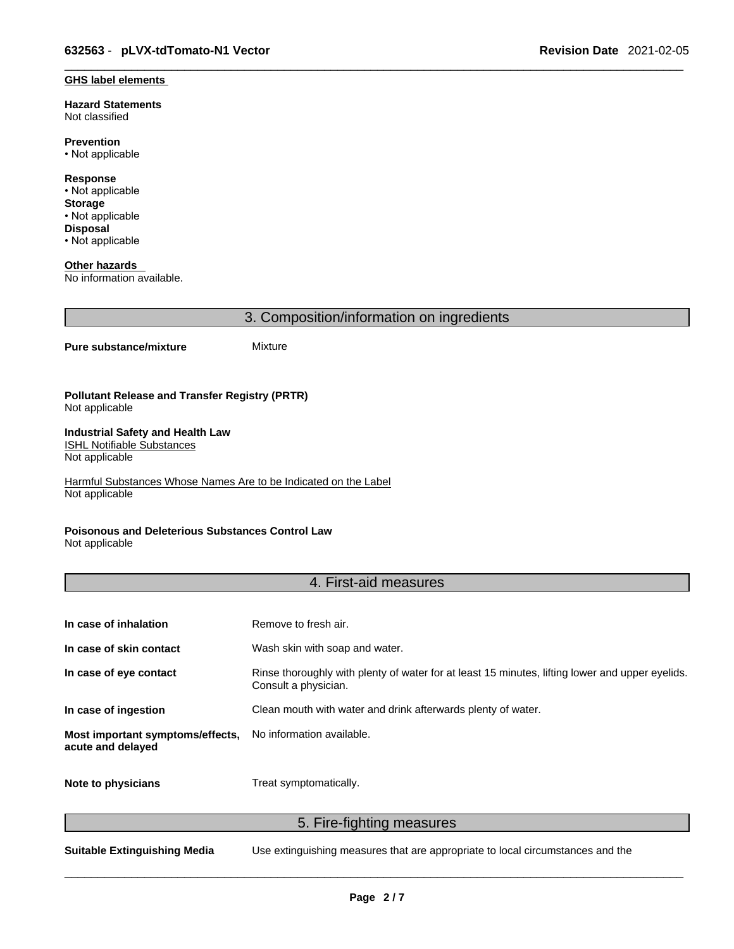#### **GHS label elements**

**Hazard Statements**  Not classified

**Prevention** • Not applicable

**Response** • Not applicable **Storage** • Not applicable **Disposal** • Not applicable

**Other hazards**  No information available.

3. Composition/information on ingredients

#### **Pure substance/mixture** Mixture

#### **Pollutant Release and Transfer Registry (PRTR)** Not applicable

#### **Industrial Safety and Health Law**  ISHL Notifiable Substances

Not applicable

Harmful Substances Whose Names Are to be Indicated on the Label Not applicable

### **Poisonous and Deleterious Substances Control Law**

Not applicable

### 4. First-aid measures

| In case of inhalation                                 | Remove to fresh air.                                                                                                    |
|-------------------------------------------------------|-------------------------------------------------------------------------------------------------------------------------|
| In case of skin contact                               | Wash skin with soap and water.                                                                                          |
| In case of eye contact                                | Rinse thoroughly with plenty of water for at least 15 minutes, lifting lower and upper eyelids.<br>Consult a physician. |
| In case of ingestion                                  | Clean mouth with water and drink afterwards plenty of water.                                                            |
| Most important symptoms/effects,<br>acute and delayed | No information available.                                                                                               |
| Note to physicians                                    | Treat symptomatically.                                                                                                  |

5. Fire-fighting measures

**Suitable Extinguishing Media** Use extinguishing measures that are appropriate to local circumstances and the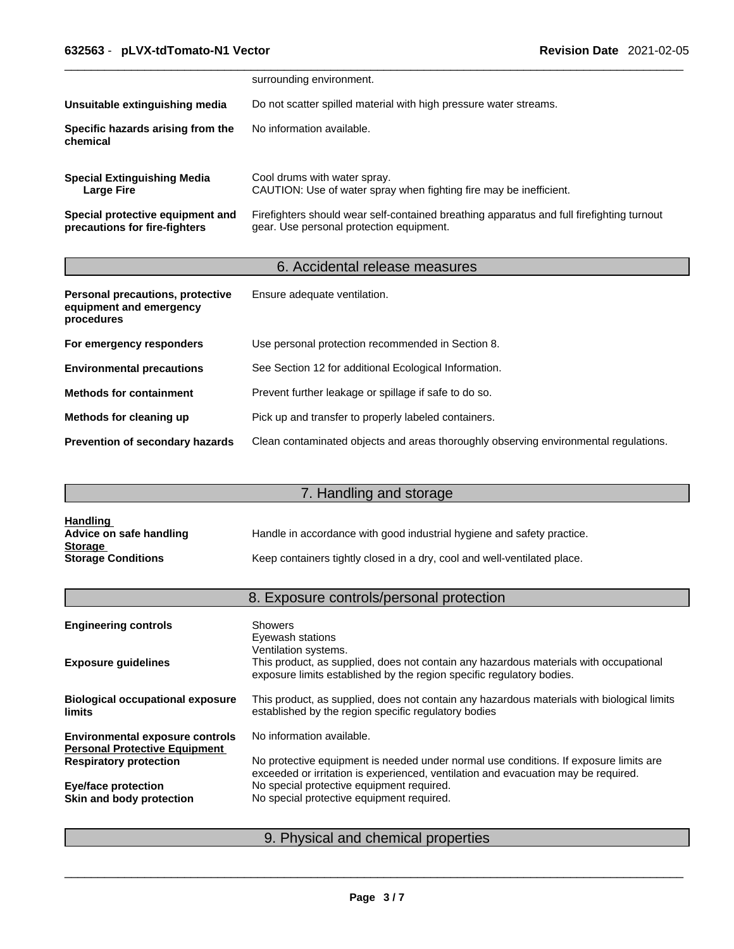|                                                                   | surrounding environment.                                                                                                              |
|-------------------------------------------------------------------|---------------------------------------------------------------------------------------------------------------------------------------|
| Unsuitable extinguishing media                                    | Do not scatter spilled material with high pressure water streams.                                                                     |
| Specific hazards arising from the<br>chemical                     | No information available.                                                                                                             |
| <b>Special Extinguishing Media</b><br><b>Large Fire</b>           | Cool drums with water spray.<br>CAUTION: Use of water spray when fighting fire may be inefficient.                                    |
| Special protective equipment and<br>precautions for fire-fighters | Firefighters should wear self-contained breathing apparatus and full firefighting turnout<br>gear. Use personal protection equipment. |

# 6. Accidental release measures

| Personal precautions, protective<br>equipment and emergency<br>procedures | Ensure adequate ventilation.                                                         |
|---------------------------------------------------------------------------|--------------------------------------------------------------------------------------|
| For emergency responders                                                  | Use personal protection recommended in Section 8.                                    |
| <b>Environmental precautions</b>                                          | See Section 12 for additional Ecological Information.                                |
| <b>Methods for containment</b>                                            | Prevent further leakage or spillage if safe to do so.                                |
| Methods for cleaning up                                                   | Pick up and transfer to properly labeled containers.                                 |
| Prevention of secondary hazards                                           | Clean contaminated objects and areas thoroughly observing environmental regulations. |

# 7. Handling and storage

| <b>Handling</b>           |                                                                          |
|---------------------------|--------------------------------------------------------------------------|
| Advice on safe handling   | Handle in accordance with good industrial hygiene and safety practice.   |
| <b>Storage</b>            |                                                                          |
| <b>Storage Conditions</b> | Keep containers tightly closed in a dry, cool and well-ventilated place. |

# 8. Exposure controls/personal protection

| <b>Engineering controls</b>                                                    | <b>Showers</b><br>Eyewash stations<br>Ventilation systems.                                                                                                                  |
|--------------------------------------------------------------------------------|-----------------------------------------------------------------------------------------------------------------------------------------------------------------------------|
| <b>Exposure guidelines</b>                                                     | This product, as supplied, does not contain any hazardous materials with occupational<br>exposure limits established by the region specific regulatory bodies.              |
| <b>Biological occupational exposure</b><br><b>limits</b>                       | This product, as supplied, does not contain any hazardous materials with biological limits<br>established by the region specific regulatory bodies                          |
| <b>Environmental exposure controls</b><br><b>Personal Protective Equipment</b> | No information available.                                                                                                                                                   |
| <b>Respiratory protection</b>                                                  | No protective equipment is needed under normal use conditions. If exposure limits are<br>exceeded or irritation is experienced, ventilation and evacuation may be required. |
| <b>Eye/face protection</b>                                                     | No special protective equipment required.                                                                                                                                   |
| Skin and body protection                                                       | No special protective equipment required.                                                                                                                                   |
|                                                                                |                                                                                                                                                                             |

# 9. Physical and chemical properties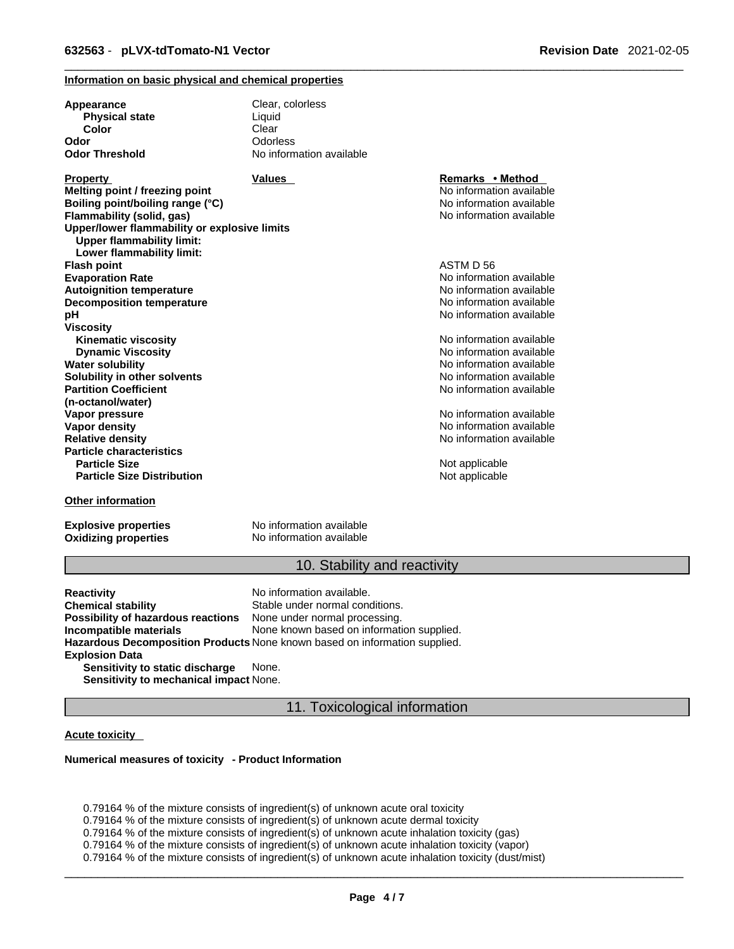### **Information on basic physical and chemical properties**

| Appearance                                                                       | Clear, colorless         |                          |  |
|----------------------------------------------------------------------------------|--------------------------|--------------------------|--|
| <b>Physical state</b>                                                            | Liquid                   |                          |  |
| Color                                                                            | Clear                    |                          |  |
| Odor                                                                             | Odorless                 |                          |  |
| Odor Threshold                                                                   | No information available |                          |  |
| <b>Property</b>                                                                  | <b>Values</b>            | Remarks • Method         |  |
| Melting point / freezing point                                                   |                          | No information available |  |
| Boiling point/boiling range (°C)                                                 |                          | No information available |  |
| Flammability (solid, gas)                                                        |                          | No information available |  |
| Upper/lower flammability or explosive limits<br><b>Upper flammability limit:</b> |                          |                          |  |
| Lower flammability limit:                                                        |                          |                          |  |
| <b>Flash point</b>                                                               |                          | ASTM D 56                |  |
| <b>Evaporation Rate</b>                                                          |                          | No information available |  |
| <b>Autoignition temperature</b>                                                  |                          | No information available |  |
| <b>Decomposition temperature</b>                                                 |                          | No information available |  |
| рH                                                                               |                          | No information available |  |
| Viscositv                                                                        |                          |                          |  |
| <b>Kinematic viscosity</b>                                                       |                          | No information available |  |
| <b>Dynamic Viscosity</b>                                                         |                          | No information available |  |
| Water solubility                                                                 |                          | No information available |  |
| Solubility in other solvents                                                     |                          | No information available |  |
| <b>Partition Coefficient</b>                                                     |                          | No information available |  |
| (n-octanol/water)                                                                |                          |                          |  |
| Vapor pressure                                                                   |                          | No information available |  |
| <b>Vapor density</b>                                                             |                          | No information available |  |
| <b>Relative density</b>                                                          |                          | No information available |  |
| <b>Particle characteristics</b>                                                  |                          |                          |  |
| <b>Particle Size</b>                                                             |                          | Not applicable           |  |
| <b>Particle Size Distribution</b>                                                |                          | Not applicable           |  |
| Other information                                                                |                          |                          |  |

**Explosive properties**<br> **Oxidizing properties**<br>
No information available **Oxidizing properties** 

## 10. Stability and reactivity

**Reactivity Reactivity Reactivity Chemical stability No information available.**<br> **Chemical stability Reaction** Stable under normal cond Stable under normal conditions.<br>None under normal processing. **Possibility of hazardous reactions Incompatible materials** None known based on information supplied. **Hazardous Decomposition Products** None known based on information supplied. **Explosion Data Sensitivity to static discharge** None.

**Sensitivity to mechanical impact** None.

### 11. Toxicological information

### **Acute toxicity**

#### **Numerical measures of toxicity - Product Information**

0.79164 % of the mixture consists of ingredient(s) of unknown acute oral toxicity  $0.79164$  % of the mixture consists of ingredient(s) of unknown acute dermal toxicity 0.79164 % of the mixture consists of ingredient(s) of unknown acute inhalation toxicity (gas) 0.79164 % of the mixture consists of ingredient(s) of unknown acute inhalation toxicity (vapor) 0.79164 % of the mixture consists of ingredient(s) of unknown acute inhalation toxicity (dust/mist)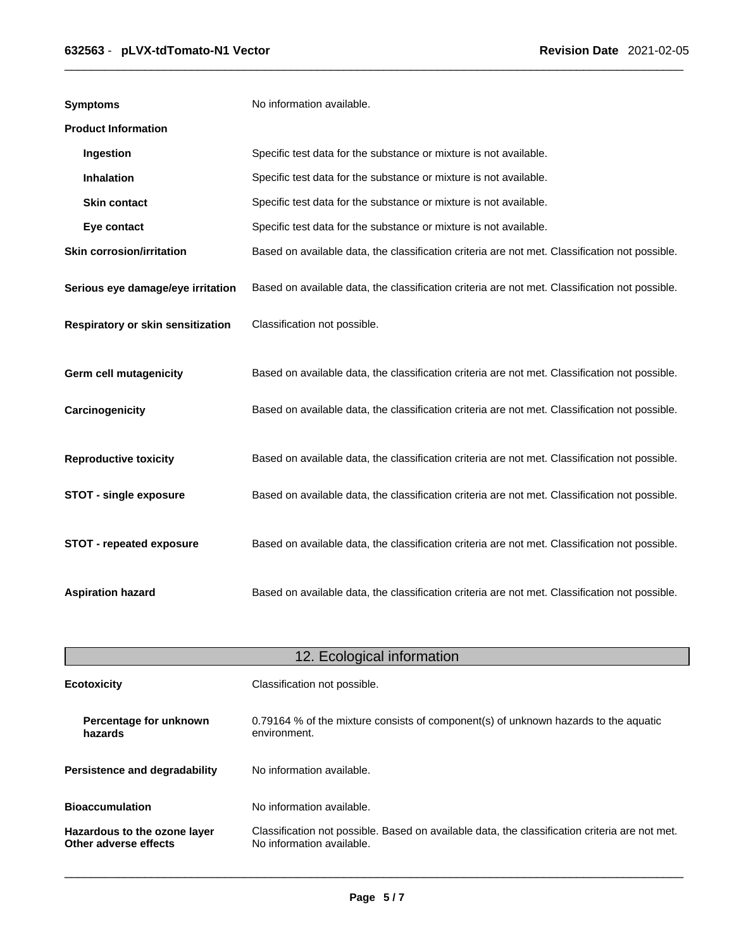| <b>Symptoms</b>                   | No information available.                                                                      |
|-----------------------------------|------------------------------------------------------------------------------------------------|
| <b>Product Information</b>        |                                                                                                |
| Ingestion                         | Specific test data for the substance or mixture is not available.                              |
| Inhalation                        | Specific test data for the substance or mixture is not available.                              |
| <b>Skin contact</b>               | Specific test data for the substance or mixture is not available.                              |
| Eye contact                       | Specific test data for the substance or mixture is not available.                              |
| <b>Skin corrosion/irritation</b>  | Based on available data, the classification criteria are not met. Classification not possible. |
| Serious eye damage/eye irritation | Based on available data, the classification criteria are not met. Classification not possible. |
| Respiratory or skin sensitization | Classification not possible.                                                                   |
| <b>Germ cell mutagenicity</b>     | Based on available data, the classification criteria are not met. Classification not possible. |
| Carcinogenicity                   | Based on available data, the classification criteria are not met. Classification not possible. |
| <b>Reproductive toxicity</b>      | Based on available data, the classification criteria are not met. Classification not possible. |
| <b>STOT - single exposure</b>     | Based on available data, the classification criteria are not met. Classification not possible. |
| STOT - repeated exposure          | Based on available data, the classification criteria are not met. Classification not possible. |
| <b>Aspiration hazard</b>          | Based on available data, the classification criteria are not met. Classification not possible. |

| 12. Ecological information                                                                                                                                                           |                                                                                                     |  |
|--------------------------------------------------------------------------------------------------------------------------------------------------------------------------------------|-----------------------------------------------------------------------------------------------------|--|
| <b>Ecotoxicity</b>                                                                                                                                                                   | Classification not possible.                                                                        |  |
| Percentage for unknown<br>hazards                                                                                                                                                    | 0.79164 % of the mixture consists of component(s) of unknown hazards to the aquatic<br>environment. |  |
| <b>Persistence and degradability</b>                                                                                                                                                 | No information available.                                                                           |  |
| <b>Bioaccumulation</b>                                                                                                                                                               | No information available.                                                                           |  |
| Classification not possible. Based on available data, the classification criteria are not met.<br>Hazardous to the ozone layer<br>No information available.<br>Other adverse effects |                                                                                                     |  |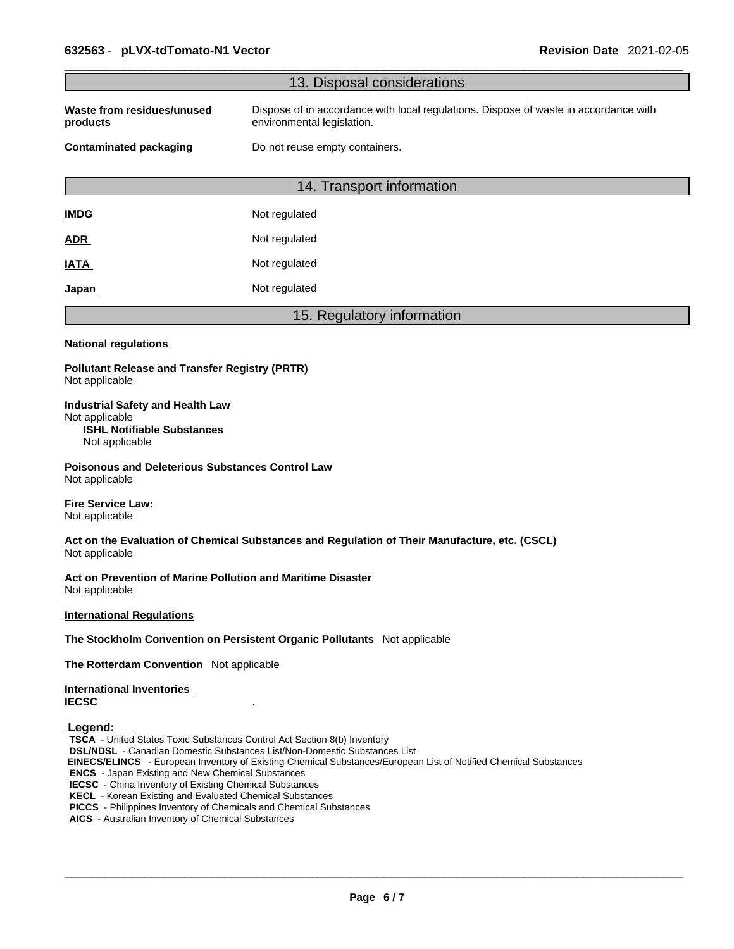|                                                                                                                                                                                                                                                                                                                                                                                                                                                                                                      | 13. Disposal considerations                                                                                        |  |
|------------------------------------------------------------------------------------------------------------------------------------------------------------------------------------------------------------------------------------------------------------------------------------------------------------------------------------------------------------------------------------------------------------------------------------------------------------------------------------------------------|--------------------------------------------------------------------------------------------------------------------|--|
| Waste from residues/unused<br>products                                                                                                                                                                                                                                                                                                                                                                                                                                                               | Dispose of in accordance with local regulations. Dispose of waste in accordance with<br>environmental legislation. |  |
| <b>Contaminated packaging</b><br>Do not reuse empty containers.                                                                                                                                                                                                                                                                                                                                                                                                                                      |                                                                                                                    |  |
|                                                                                                                                                                                                                                                                                                                                                                                                                                                                                                      | 14. Transport information                                                                                          |  |
| <b>IMDG</b>                                                                                                                                                                                                                                                                                                                                                                                                                                                                                          | Not regulated                                                                                                      |  |
| <b>ADR</b>                                                                                                                                                                                                                                                                                                                                                                                                                                                                                           | Not regulated                                                                                                      |  |
| <b>IATA</b>                                                                                                                                                                                                                                                                                                                                                                                                                                                                                          | Not regulated                                                                                                      |  |
| Japan                                                                                                                                                                                                                                                                                                                                                                                                                                                                                                | Not regulated                                                                                                      |  |
|                                                                                                                                                                                                                                                                                                                                                                                                                                                                                                      | 15. Regulatory information                                                                                         |  |
| <b>National regulations</b>                                                                                                                                                                                                                                                                                                                                                                                                                                                                          |                                                                                                                    |  |
| <b>Pollutant Release and Transfer Registry (PRTR)</b><br>Not applicable                                                                                                                                                                                                                                                                                                                                                                                                                              |                                                                                                                    |  |
| <b>Industrial Safety and Health Law</b><br>Not applicable<br><b>ISHL Notifiable Substances</b><br>Not applicable                                                                                                                                                                                                                                                                                                                                                                                     |                                                                                                                    |  |
| <b>Poisonous and Deleterious Substances Control Law</b><br>Not applicable                                                                                                                                                                                                                                                                                                                                                                                                                            |                                                                                                                    |  |
| <b>Fire Service Law:</b><br>Not applicable                                                                                                                                                                                                                                                                                                                                                                                                                                                           |                                                                                                                    |  |
| Not applicable                                                                                                                                                                                                                                                                                                                                                                                                                                                                                       | Act on the Evaluation of Chemical Substances and Regulation of Their Manufacture, etc. (CSCL)                      |  |
| Act on Prevention of Marine Pollution and Maritime Disaster<br>Not applicable                                                                                                                                                                                                                                                                                                                                                                                                                        |                                                                                                                    |  |
| <b>International Regulations</b>                                                                                                                                                                                                                                                                                                                                                                                                                                                                     |                                                                                                                    |  |
|                                                                                                                                                                                                                                                                                                                                                                                                                                                                                                      | The Stockholm Convention on Persistent Organic Pollutants Not applicable                                           |  |
| The Rotterdam Convention Not applicable                                                                                                                                                                                                                                                                                                                                                                                                                                                              |                                                                                                                    |  |
| <b>International Inventories</b><br><b>IECSC</b>                                                                                                                                                                                                                                                                                                                                                                                                                                                     |                                                                                                                    |  |
| Legend:<br>TSCA - United States Toxic Substances Control Act Section 8(b) Inventory<br><b>DSL/NDSL</b> - Canadian Domestic Substances List/Non-Domestic Substances List<br><b>ENCS</b> - Japan Existing and New Chemical Substances<br><b>IECSC</b> - China Inventory of Existing Chemical Substances<br><b>KECL</b> - Korean Existing and Evaluated Chemical Substances<br>PICCS - Philippines Inventory of Chemicals and Chemical Substances<br>AICS - Australian Inventory of Chemical Substances | EINECS/ELINCS - European Inventory of Existing Chemical Substances/European List of Notified Chemical Substances   |  |